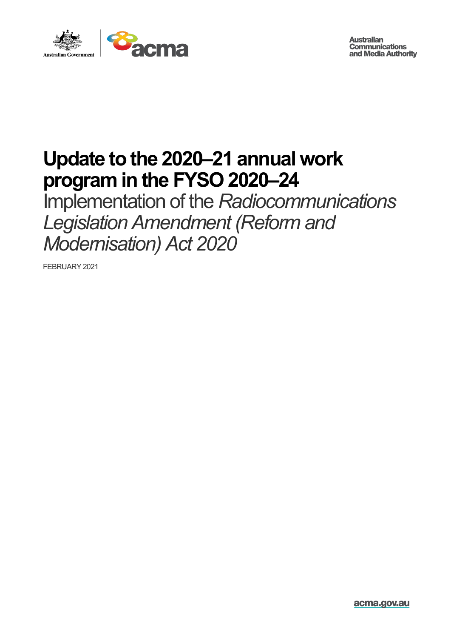

**Australian Communications** and Media Authority

## **Update to the 2020–21 annual work program in the FYSO 2020–24**

Implementation of the *Radiocommunications Legislation Amendment (Reform and Modernisation) Act 2020*

FEBRUARY 2021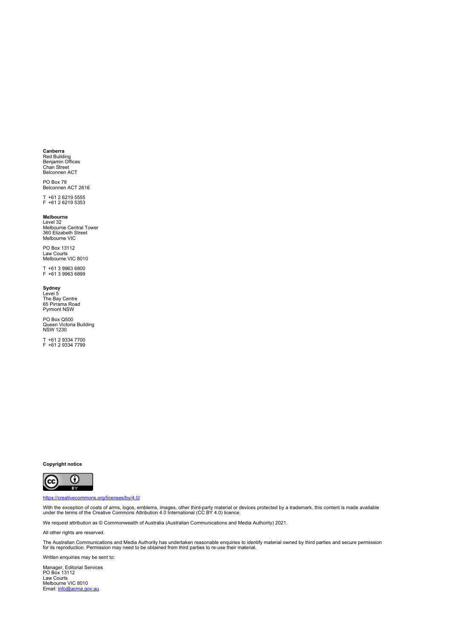#### **Canberra**

Red Building<br>Benjamin Offices Chan Street<br>Belconnen ACT

PO Box 78 Belconnen ACT 2616

T +61 2 6219 5555 F +61 2 6219 5353

#### **Melbourne**

Level 32 Melbourne Central Tower 360 Elizabeth Street Melbourne VIC

PO Box 13112 Law Courts Melbourne VIC 8010

T +61 3 9963 6800 F +61 3 9963 6899

**Sydney**<br>Level 5<br>The Bay Centre<br>65 Pirrama Road Pyrmont NSW

PO Box Q500 Queen Victoria Building NSW 1230

T +61 2 9334 7700 F +61 2 9334 7799

**Copyright notice**



#### <https://creativecommons.org/licenses/by/4.0/>

With the exception of coats of arms, logos, emblems, images, other third-party material or devices protected by a trademark, this content is made available<br>under the terms of the Creative Commons Attribution 4.0 Internatio

We request attribution as © Commonwealth of Australia (Australian Communications and Media Authority) 2021.

All other rights are reserved.

The Australian Communications and Media Authority has undertaken reasonable enquiries to identify material owned by third parties and secure permission<br>for its reproduction. Permission may need to be obtained from third pa

Written enquiries may be sent to:

Manager, Editorial Services PO Box 13112 Law Courts Melbourne VIC 8010 Email[: info@acma.gov.au](mailto:info@acma.gov.au)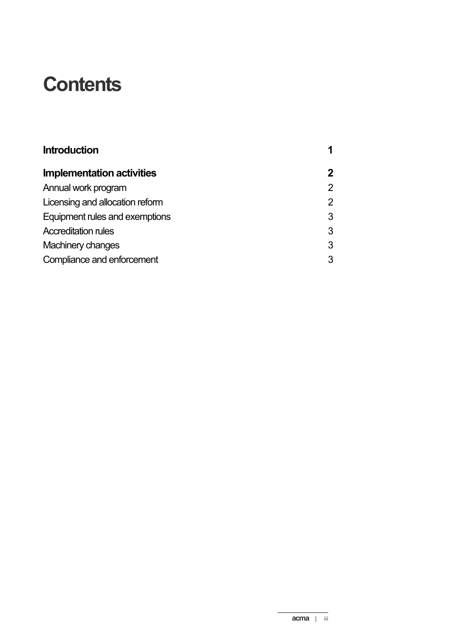## **Contents**

| <b>Introduction</b>             |                |
|---------------------------------|----------------|
| Implementation activities       | $\mathbf{2}$   |
| Annual work program             | $\overline{2}$ |
| Licensing and allocation reform | $\overline{2}$ |
| Equipment rules and exemptions  | 3              |
| <b>Accreditation rules</b>      | 3              |
| <b>Machinery changes</b>        | 3              |
| Compliance and enforcement      | 3              |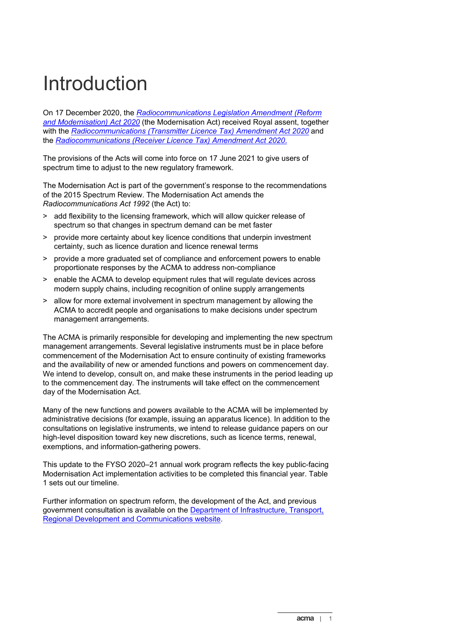## <span id="page-4-0"></span>Introduction

On 17 December 2020, the *[Radiocommunications Legislation Amendment \(Reform](https://www.legislation.gov.au/Details/C2020A00151)  [and Modernisation\) Act 2020](https://www.legislation.gov.au/Details/C2020A00151)* (the Modernisation Act) received Royal assent, together with the *[Radiocommunications \(Transmitter Licence Tax\) Amendment Act 2020](https://www.legislation.gov.au/Details/C2020A00153)* and the *[Radiocommunications \(Receiver Licence Tax\) Amendment Act 2020](https://www.legislation.gov.au/Details/C2020A00152)*.

The provisions of the Acts will come into force on 17 June 2021 to give users of spectrum time to adjust to the new regulatory framework.

The Modernisation Act is part of the government's response to the recommendations of the [2015 Spectrum Review.](https://www.communications.gov.au/what-we-do/spectrum/spectrum-review) The Modernisation Act amends the *Radiocommunications Act 1992* (the Act) to:

- > add flexibility to the licensing framework, which will allow quicker release of spectrum so that changes in spectrum demand can be met faster
- > provide more certainty about key licence conditions that underpin investment certainty, such as licence duration and licence renewal terms
- > provide a more graduated set of compliance and enforcement powers to enable proportionate responses by the ACMA to address non-compliance
- > enable the ACMA to develop equipment rules that will regulate devices across modern supply chains, including recognition of online supply arrangements
- > allow for more external involvement in spectrum management by allowing the ACMA to accredit people and organisations to make decisions under spectrum management arrangements.

The ACMA is primarily responsible for developing and implementing the new spectrum management arrangements. Several legislative instruments must be in place before commencement of the Modernisation Act to ensure continuity of existing frameworks and the availability of new or amended functions and powers on commencement day. We intend to develop, consult on, and make these instruments in the period leading up to the commencement day. The instruments will take effect on the commencement day of the Modernisation Act.

Many of the new functions and powers available to the ACMA will be implemented by administrative decisions (for example, issuing an apparatus licence). In addition to the consultations on legislative instruments, we intend to release guidance papers on our high-level disposition toward key new discretions, such as licence terms, renewal, exemptions, and information-gathering powers.

This update to the FYSO 2020–21 annual work program reflects the key public-facing Modernisation Act implementation activities to be completed this financial year. Table 1 sets out our timeline.

Further information on spectrum reform, the development of the Act, and previous government consultation is available on the [Department of Infrastructure,](https://www.communications.gov.au/what-we-do/spectrum/spectrum-reform) Transport, [Regional Development and Communications](https://www.communications.gov.au/what-we-do/spectrum/spectrum-reform) website.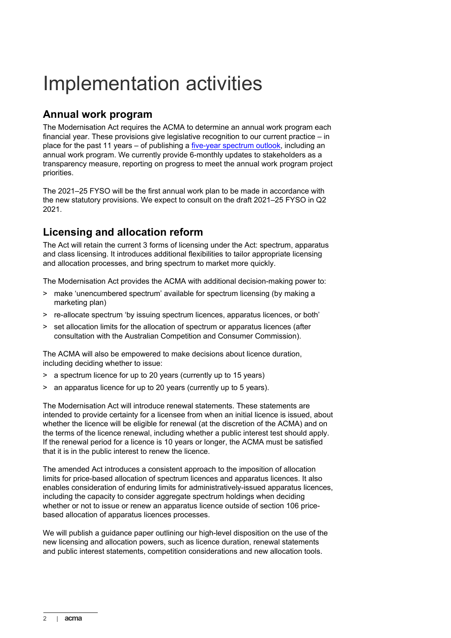# <span id="page-5-0"></span>Implementation activities

### <span id="page-5-1"></span>**Annual work program**

The Modernisation Act requires the ACMA to determine an annual work program each financial year. These provisions give legislative recognition to our current practice – in place for the past 11 years – of publishing a [five-year spectrum outlook,](https://www.acma.gov.au/five-year-spectrum-outlook) including an annual work program. We currently provide 6-monthly updates to stakeholders as a transparency measure, reporting on progress to meet the annual work program project priorities.

The 2021–25 FYSO will be the first annual work plan to be made in accordance with the new statutory provisions. We expect to consult on the draft 2021–25 FYSO in Q2 2021.

## <span id="page-5-2"></span>**Licensing and allocation reform**

The Act will retain the current 3 forms of licensing under the Act: spectrum, apparatus and class licensing. It introduces additional flexibilities to tailor appropriate licensing and allocation processes, and bring spectrum to market more quickly.

The Modernisation Act provides the ACMA with additional decision-making power to:

- > make 'unencumbered spectrum' available for spectrum licensing (by making a marketing plan)
- > re-allocate spectrum 'by issuing spectrum licences, apparatus licences, or both'
- > set allocation limits for the allocation of spectrum or apparatus licences (after consultation with the Australian Competition and Consumer Commission).

The ACMA will also be empowered to make decisions about licence duration, including deciding whether to issue:

- > a spectrum licence for up to 20 years (currently up to 15 years)
- > an apparatus licence for up to 20 years (currently up to 5 years).

The Modernisation Act will introduce renewal statements. These statements are intended to provide certainty for a licensee from when an initial licence is issued, about whether the licence will be eligible for renewal (at the discretion of the ACMA) and on the terms of the licence renewal, including whether a public interest test should apply. If the renewal period for a licence is 10 years or longer, the ACMA must be satisfied that it is in the public interest to renew the licence.

The amended Act introduces a consistent approach to the imposition of allocation limits for price-based allocation of spectrum licences and apparatus licences. It also enables consideration of enduring limits for administratively-issued apparatus licences, including the capacity to consider aggregate spectrum holdings when deciding whether or not to issue or renew an apparatus licence outside of section 106 pricebased allocation of apparatus licences processes.

We will publish a guidance paper outlining our high-level disposition on the use of the new licensing and allocation powers, such as licence duration, renewal statements and public interest statements, competition considerations and new allocation tools.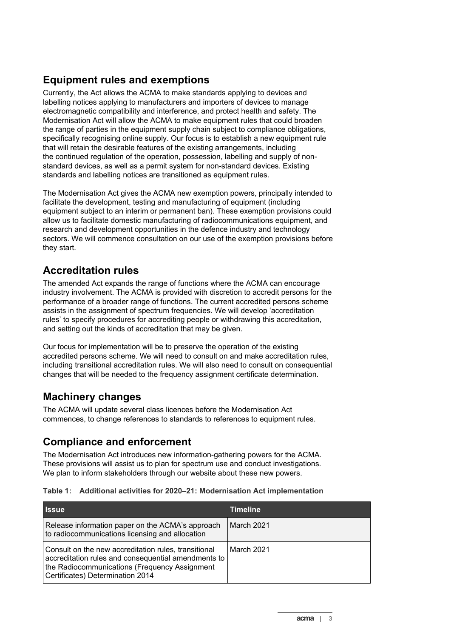## <span id="page-6-0"></span>**Equipment rules and exemptions**

Currently, the Act allows the ACMA to make standards applying to devices and labelling notices applying to manufacturers and importers of devices to manage electromagnetic compatibility and interference, and protect health and safety. The Modernisation Act will allow the ACMA to make equipment rules that could broaden the range of parties in the equipment supply chain subject to compliance obligations, specifically recognising online supply. Our focus is to establish a new equipment rule that will retain the desirable features of the existing arrangements, including the continued regulation of the operation, possession, labelling and supply of nonstandard devices, as well as a permit system for non-standard devices. Existing standards and labelling notices are transitioned as equipment rules.

The Modernisation Act gives the ACMA new exemption powers, principally intended to facilitate the development, testing and manufacturing of equipment (including equipment subject to an interim or permanent ban). These exemption provisions could allow us to facilitate domestic manufacturing of radiocommunications equipment, and research and development opportunities in the defence industry and technology sectors. We will commence consultation on our use of the exemption provisions before they start.

### <span id="page-6-1"></span>**Accreditation rules**

The amended Act expands the range of functions where the ACMA can encourage industry involvement. The ACMA is provided with discretion to accredit persons for the performance of a broader range of functions. The current accredited persons scheme assists in the assignment of spectrum frequencies. We will develop 'accreditation rules' to specify procedures for accrediting people or withdrawing this accreditation, and setting out the kinds of accreditation that may be given.

Our focus for implementation will be to preserve the operation of the existing accredited persons scheme. We will need to consult on and make accreditation rules, including transitional accreditation rules. We will also need to consult on consequential changes that will be needed to the frequency assignment certificate determination.

## <span id="page-6-2"></span>**Machinery changes**

The ACMA will update several class licences before the Modernisation Act commences, to change references to standards to references to equipment rules.

## <span id="page-6-3"></span>**Compliance and enforcement**

The Modernisation Act introduces new information-gathering powers for the ACMA. These provisions will assist us to plan for spectrum use and conduct investigations. We plan to inform stakeholders through our website about these new powers.

|  | Table 1: Additional activities for 2020–21: Modernisation Act implementation |  |  |  |
|--|------------------------------------------------------------------------------|--|--|--|
|--|------------------------------------------------------------------------------|--|--|--|

| <b>Issue</b>                                                                                                                                                                                     | <b>Timeline</b>   |
|--------------------------------------------------------------------------------------------------------------------------------------------------------------------------------------------------|-------------------|
| Release information paper on the ACMA's approach<br>to radiocommunications licensing and allocation                                                                                              | <b>March 2021</b> |
| Consult on the new accreditation rules, transitional<br>accreditation rules and consequential amendments to<br>the Radiocommunications (Frequency Assignment<br>Certificates) Determination 2014 | March 2021        |